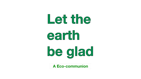# Let the earth be glad

**A Eco-communion**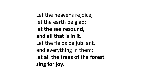Let the heavens rejoice, let the earth be glad; **let the sea resound, and all that is in it.** Let the fields be jubilant, and everything in them; **let all the trees of the forest sing for joy.**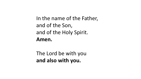In the name of the Father, and of the Son, and of the Holy Spirit. **Amen.**

The Lord be with you **and also with you.**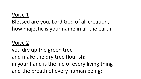### Voice 1

## Blessed are you, Lord God of all creation, how majestic is your name in all the earth;

#### Voice 2

you dry up the green tree and make the dry tree flourish; in your hand is the life of every living thing and the breath of every human being;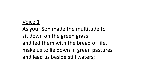#### Voice 1

As your Son made the multitude to sit down on the green grass and fed them with the bread of life, make us to lie down in green pastures and lead us beside still waters;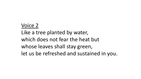## Voice 2 Like a tree planted by water, which does not fear the heat but whose leaves shall stay green, let us be refreshed and sustained in you.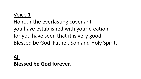#### Voice 1

Honour the everlasting covenant you have established with your creation, for you have seen that it is very good. Blessed be God, Father, Son and Holy Spirit.

#### All

#### **Blessed be God forever.**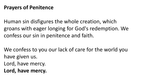#### **Prayers of Penitence**

Human sin disfigures the whole creation, which groans with eager longing for God's redemption. We confess our sin in penitence and faith.

We confess to you our lack of care for the world you have given us.

- Lord, have mercy.
- **Lord, have mercy.**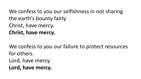We confess to you our selfishness in not sharing the earth's bounty fairly. Christ, have mercy. **Christ, have mercy.**

We confess to you our failure to protect resources for others. Lord, have mercy. **Lord, have mercy.**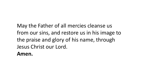May the Father of all mercies cleanse us from our sins, and restore us in his image to the praise and glory of his name, through Jesus Christ our Lord. **Amen.**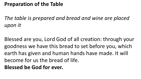#### **Preparation of the Table**

*The table is prepared and bread and wine are placed upon it* 

Blessed are you, Lord God of all creation: through your goodness we have this bread to set before you, which earth has given and human hands have made. It will become for us the bread of life. **Blessed be God for ever.**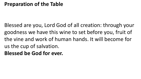#### **Preparation of the Table**

Blessed are you, Lord God of all creation: through your goodness we have this wine to set before you, fruit of the vine and work of human hands. It will become for us the cup of salvation. **Blessed be God for ever.**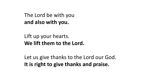The Lord be with you **and also with you.**

Lift up your hearts. **We lift them to the Lord.**

Let us give thanks to the Lord our God. **It is right to give thanks and praise.**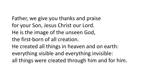Father, we give you thanks and praise for your Son, Jesus Christ our Lord. He is the image of the unseen God, the first-born of all creation. He created all things in heaven and on earth: everything visible and everything invisible: all things were created through him and for him.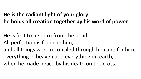## **He is the radiant light of your glory: he holds all creation together by his word of power.**

- He is first to be born from the dead.
- All perfection is found in him,
- and all things were reconciled through him and for him, everything in heaven and everything on earth, when he made peace by his death on the cross.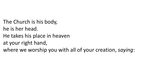The Church is his body,

- he is her head.
- He takes his place in heaven
- at your right hand,

where we worship you with all of your creation, *saying*: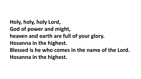**Holy, holy, holy Lord, God of power and might, heaven and earth are full of your glory. Hosanna in the highest. Blessed is he who comes in the name of the Lord. Hosanna in the highest.**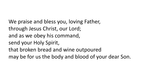We praise and bless you, loving Father, through Jesus Christ, our Lord; and as we obey his command, send your Holy Spirit, that broken bread and wine outpoured may be for us the body and blood of your dear Son.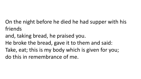On the night before he died he had supper with his friends

- and, taking bread, he praised you.
- He broke the bread, gave it to them and said:
- Take, eat; this is my body which is given for you; do this in remembrance of me.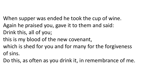- When supper was ended he took the cup of wine.
- Again he praised you, gave it to them and said:
- Drink this, all of you;
- this is my blood of the new covenant,
- which is shed for you and for many for the forgiveness of sins.
- Do this, as often as you drink it, in remembrance of me.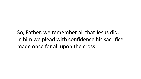So, Father, we remember all that Jesus did, in him we plead with confidence his sacrifice made once for all upon the cross.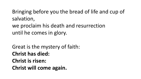Bringing before you the bread of life and cup of salvation,

we proclaim his death and resurrection until he comes in glory.

Great is the mystery of faith: **Christ has died: Christ is risen: Christ will come again.**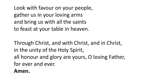Look with favour on your people, gather us in your loving arms and bring us with all the saints to feast at your table in heaven.

Through Christ, and with Christ, and in Christ, in the unity of the Holy Spirit, all honour and glory are yours, O loving Father, for ever and ever.

#### **Amen.**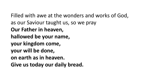Filled with awe at the wonders and works of God, as our Saviour taught us, so we pray **Our Father in heaven, hallowed be your name, your kingdom come, your will be done, on earth as in heaven. Give us today our daily bread.**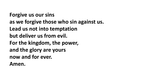**Forgive us our sins as we forgive those who sin against us. Lead us not into temptation but deliver us from evil. For the kingdom, the power, and the glory are yours now and for ever. Amen.**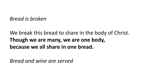*Bread is broken*

We break this bread to share in the body of Christ. **Though we are many, we are one body, because we all share in one bread.**

*Bread and wine are served*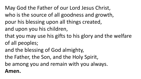May God the Father of our Lord Jesus Christ, who is the source of all goodness and growth, pour his blessing upon all things created, and upon you his children,

- that you may use his gifts to his glory and the welfare of all peoples;
- and the blessing of God almighty,
- the Father, the Son, and the Holy Spirit,
- be among you and remain with you always.

#### **Amen.**